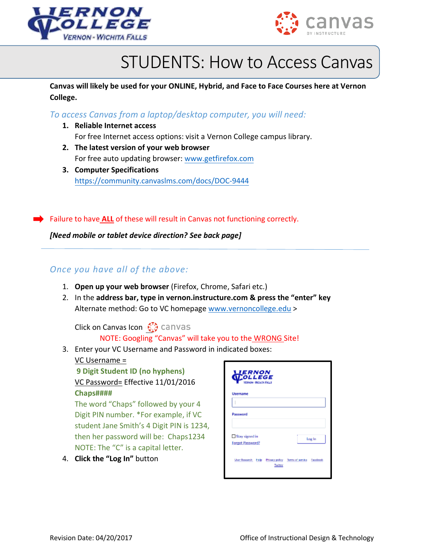



## STUDENTS: How to Access Canvas

**Canvas will likely be used for your ONLINE, Hybrid, and Face to Face Courses here at Vernon College.** 

*To access Canvas from a laptop/desktop computer, you will need:* 

- **1. Reliable Internet access** For free Internet access options: visit a Vernon College campus library.
- **2. The latest version of your web browser** For free auto updating browser: [www.getfirefox.com](http://www.getfirefox.com/)
- **3. Computer Specifications** [https://community.canvaslms.com/d](https://get.adobe.com/flashplayer/)ocs/DOC-9444

Failure to have **ALL** of these will result in Canvas not functioning correctly.

*[Need mobile or tablet device direction? See back page]* 

## *Once you have all of the above:*

- 1. **Open up your web browser** (Firefox, Chrome, Safari etc.)
- 2. In the **address bar, type in vernon.instructure.com & press the "enter" key** Alternate method: Go to VC homepage [www.vernoncollege.edu](http://www.vernoncollege.edu/) >

**Click on Canvas Icon Contact** canvas

## NOTE: Googling "Canvas" will take you to the WRONG Site!

3. Enter your VC Username and Password in indicated boxes:

VC Username =

**9 Digit Student ID (no hyphens)** VC Password= Effective 11/01/2016 **Chaps####**

The word "Chaps" followed by your 4 Digit PIN number. \*For example, if VC student Jane Smith's 4 Digit PIN is 1234, then her password will be: Chaps1234 NOTE: The "C" is a capital letter.

4. **Click the "Log In"** button

| <b>LIERNON</b><br><b>MOLLEGE</b><br><b>Virginian - Wickers Fassis</b>           |
|---------------------------------------------------------------------------------|
| <b>Username</b>                                                                 |
|                                                                                 |
| Password                                                                        |
|                                                                                 |
| Stay signed in<br>Log In                                                        |
| Forgot Password?                                                                |
| User Research Hislip Privacy policy Terms of service Facebook<br><b>Tuilter</b> |
|                                                                                 |